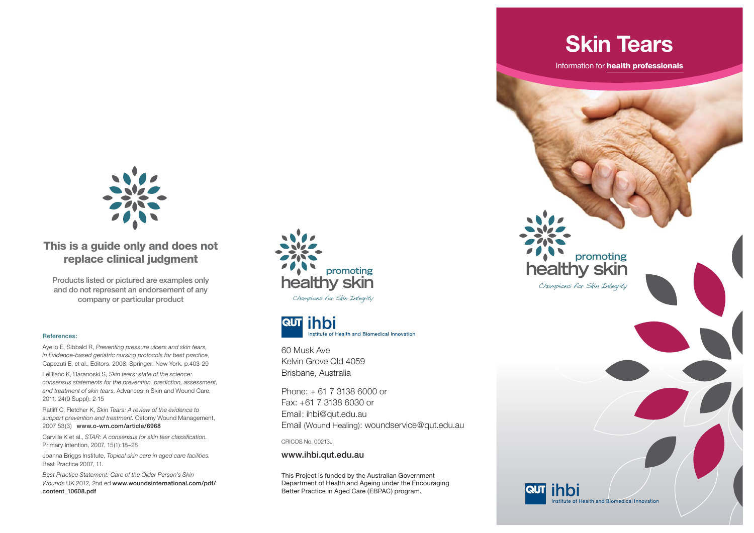

## **This is a guide only and does not replace clinical judgment**

**Products listed or pictured are examples only and do not represent an endorsement of any company or particular product**

#### **References:**

Ayello E, Sibbald R, *Preventing pressure ulcers and skin tears, in Evidence-based geriatric nursing protocols for best practice*, Capezuti E, et al., Editors. 2008, Springer: New York. p.403-29

LeBlanc K, Baranoski S, *Skin tears: state of the science: consensus statements for the prevention, prediction, assessment, and treatment of skin tears*. Advances in Skin and Wound Care, 2011. 24(9 Suppl): 2-15

Ratliff C, Fletcher K, *Skin Tears: A review of the evidence to support prevention and treatment*. Ostomy Wound Management, 2007 53(3) **www.o-wm.com/article/6968**

Carville K et al., *STAR: A consensus for skin tear classification*. Primary Intention, 2007. 15(1):18–28

Joanna Briggs Institute, *Topical skin care in aged care facilities*. Best Practice 2007, 11

*Best Practice Statement: Care of the Older Person's Skin Wounds* UK 2012, 2nd ed **www.woundsinternational.com/pdf/ content\_10608.pdf**





60 Musk Ave Kelvin Grove Qld 4059Brisbane, Australia

Phone: + 61 7 3138 6000 or Fax: +61 7 3138 6030 or Email: ihbi@qut.edu.au Email (Wound Healing): woundservice@qut.edu.au

CRICOS No. 00213J

**www.ihbi.qut.edu.au**

This Project is funded by the Australian Government Department of Health and Ageing under the Encouraging Better Practice in Aged Care (EBPAC) program.

**healthy skin promoting**

Information for **health professionals**

**Skin Tears**

Champions for Skin Integrity